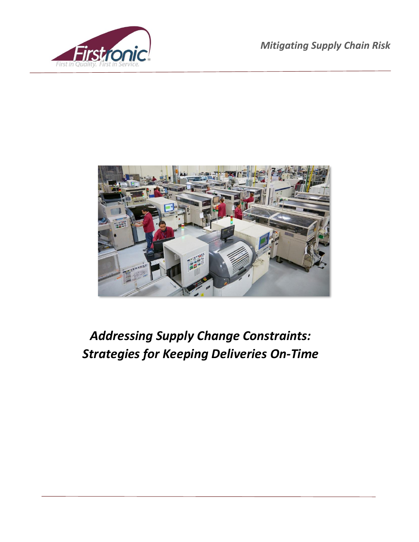



# *Addressing Supply Change Constraints: Strategies for Keeping Deliveries On-Time*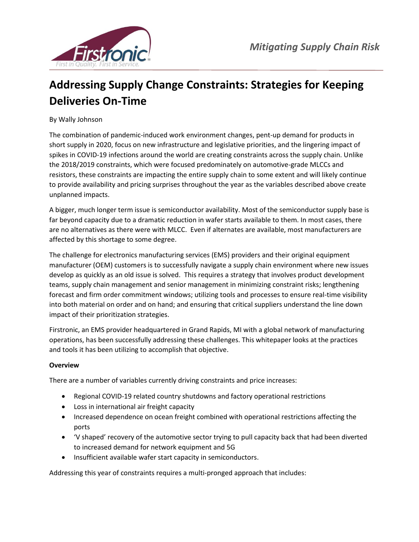

# **Addressing Supply Change Constraints: Strategies for Keeping Deliveries On-Time**

By Wally Johnson

The combination of pandemic-induced work environment changes, pent-up demand for products in short supply in 2020, focus on new infrastructure and legislative priorities, and the lingering impact of spikes in COVID-19 infections around the world are creating constraints across the supply chain. Unlike the 2018/2019 constraints, which were focused predominately on automotive-grade MLCCs and resistors, these constraints are impacting the entire supply chain to some extent and will likely continue to provide availability and pricing surprises throughout the year as the variables described above create unplanned impacts.

A bigger, much longer term issue is semiconductor availability. Most of the semiconductor supply base is far beyond capacity due to a dramatic reduction in wafer starts available to them. In most cases, there are no alternatives as there were with MLCC. Even if alternates are available, most manufacturers are affected by this shortage to some degree.

The challenge for electronics manufacturing services (EMS) providers and their original equipment manufacturer (OEM) customers is to successfully navigate a supply chain environment where new issues develop as quickly as an old issue is solved. This requires a strategy that involves product development teams, supply chain management and senior management in minimizing constraint risks; lengthening forecast and firm order commitment windows; utilizing tools and processes to ensure real-time visibility into both material on order and on hand; and ensuring that critical suppliers understand the line down impact of their prioritization strategies.

Firstronic, an EMS provider headquartered in Grand Rapids, MI with a global network of manufacturing operations, has been successfully addressing these challenges. This whitepaper looks at the practices and tools it has been utilizing to accomplish that objective.

## **Overview**

There are a number of variables currently driving constraints and price increases:

- Regional COVID-19 related country shutdowns and factory operational restrictions
- Loss in international air freight capacity
- Increased dependence on ocean freight combined with operational restrictions affecting the ports
- 'V shaped' recovery of the automotive sector trying to pull capacity back that had been diverted to increased demand for network equipment and 5G
- Insufficient available wafer start capacity in semiconductors.

Addressing this year of constraints requires a multi-pronged approach that includes: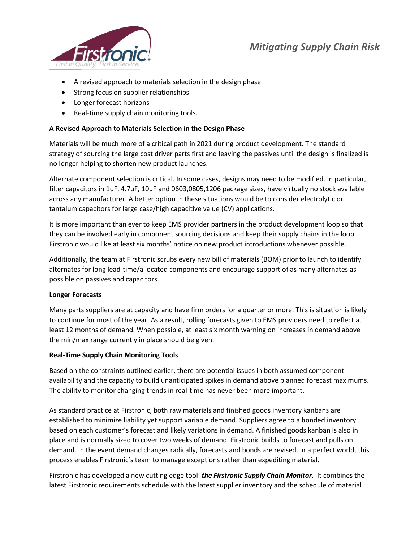

- A revised approach to materials selection in the design phase
- Strong focus on supplier relationships
- Longer forecast horizons
- Real-time supply chain monitoring tools.

#### **A Revised Approach to Materials Selection in the Design Phase**

Materials will be much more of a critical path in 2021 during product development. The standard strategy of sourcing the large cost driver parts first and leaving the passives until the design is finalized is no longer helping to shorten new product launches.

Alternate component selection is critical. In some cases, designs may need to be modified. In particular, filter capacitors in 1uF, 4.7uF, 10uF and 0603,0805,1206 package sizes, have virtually no stock available across any manufacturer. A better option in these situations would be to consider electrolytic or tantalum capacitors for large case/high capacitive value (CV) applications.

It is more important than ever to keep EMS provider partners in the product development loop so that they can be involved early in component sourcing decisions and keep their supply chains in the loop. Firstronic would like at least six months' notice on new product introductions whenever possible.

Additionally, the team at Firstronic scrubs every new bill of materials (BOM) prior to launch to identify alternates for long lead-time/allocated components and encourage support of as many alternates as possible on passives and capacitors.

#### **Longer Forecasts**

Many parts suppliers are at capacity and have firm orders for a quarter or more. This is situation is likely to continue for most of the year. As a result, rolling forecasts given to EMS providers need to reflect at least 12 months of demand. When possible, at least six month warning on increases in demand above the min/max range currently in place should be given.

#### **Real-Time Supply Chain Monitoring Tools**

Based on the constraints outlined earlier, there are potential issues in both assumed component availability and the capacity to build unanticipated spikes in demand above planned forecast maximums. The ability to monitor changing trends in real-time has never been more important.

As standard practice at Firstronic, both raw materials and finished goods inventory kanbans are established to minimize liability yet support variable demand. Suppliers agree to a bonded inventory based on each customer's forecast and likely variations in demand. A finished goods kanban is also in place and is normally sized to cover two weeks of demand. Firstronic builds to forecast and pulls on demand. In the event demand changes radically, forecasts and bonds are revised. In a perfect world, this process enables Firstronic's team to manage exceptions rather than expediting material.

Firstronic has developed a new cutting edge tool: *the Firstronic Supply Chain Monitor*. It combines the latest Firstronic requirements schedule with the latest supplier inventory and the schedule of material